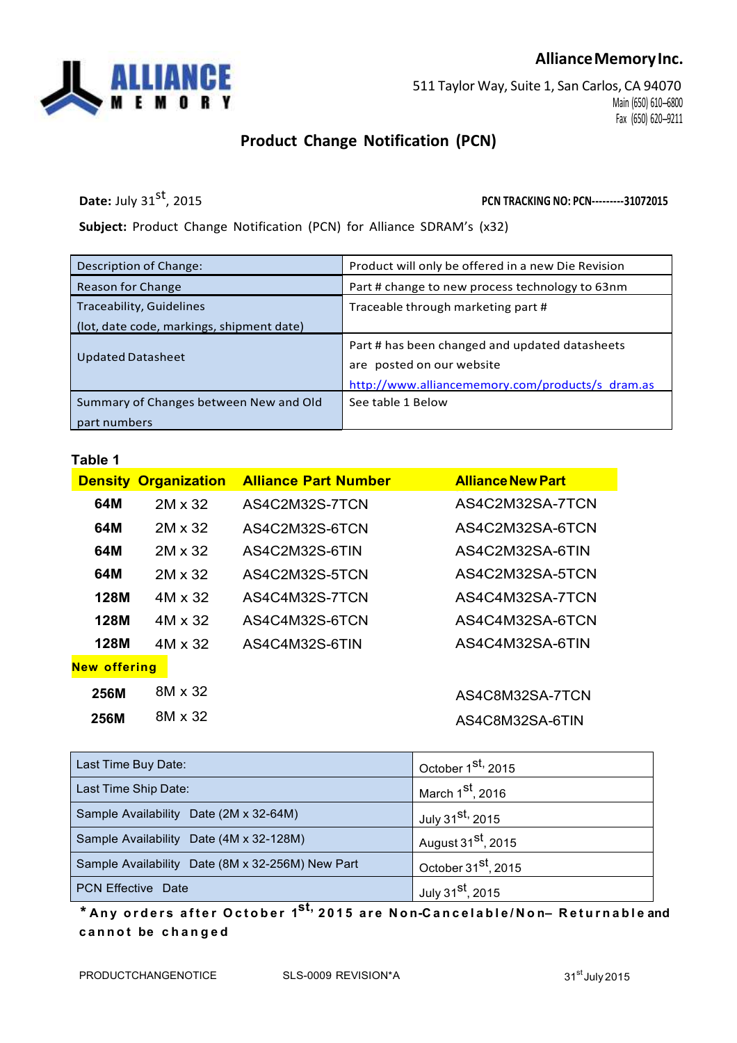## **AllianceMemoryInc.**



511 Taylor Way, Suite 1, San Carlos, CA 94070 Main (650) 610-6800 Fax (650) 620-9211

## **Product Change Notification (PCN)**

**Date:** July 31st, 2015

, 2015 **PCN TRACKING NO: PCN---31072015**

**Subject:** Product Change Notification (PCN) for Alliance SDRAM's (x32)

| Description of Change:                    | Product will only be offered in a new Die Revision |  |
|-------------------------------------------|----------------------------------------------------|--|
| Reason for Change                         | Part # change to new process technology to 63nm    |  |
| Traceability, Guidelines                  | Traceable through marketing part #                 |  |
| (lot, date code, markings, shipment date) |                                                    |  |
|                                           | Part # has been changed and updated datasheets     |  |
| <b>Updated Datasheet</b>                  | are posted on our website                          |  |
|                                           | http://www.alliancememory.com/products/s dram.as   |  |
| Summary of Changes between New and Old    | See table 1 Below                                  |  |
| part numbers                              |                                                    |  |

**Table 1**

|                     | <b>Density Organization</b> | <b>Alliance Part Number</b> | <b>Alliance New Part</b> |
|---------------------|-----------------------------|-----------------------------|--------------------------|
| 64M                 | 2M x 32                     | AS4C2M32S-7TCN              | AS4C2M32SA-7TCN          |
| 64M                 | 2M x 32                     | AS4C2M32S-6TCN              | AS4C2M32SA-6TCN          |
| 64M                 | 2M x 32                     | AS4C2M32S-6TIN              | AS4C2M32SA-6TIN          |
| 64M                 | 2M x 32                     | AS4C2M32S-5TCN              | AS4C2M32SA-5TCN          |
| 128M                | 4M x 32                     | AS4C4M32S-7TCN              | AS4C4M32SA-7TCN          |
| <b>128M</b>         | 4M x 32                     | AS4C4M32S-6TCN              | AS4C4M32SA-6TCN          |
| 128M                | $4M \times 32$              | AS4C4M32S-6TIN              | AS4C4M32SA-6TIN          |
| <b>New offering</b> |                             |                             |                          |
| 256M                | 8M x 32                     |                             | AS4C8M32SA-7TCN          |
| <b>256M</b>         | 8M x 32                     |                             | AS4C8M32SA-6TIN          |

| Last Time Buy Date:                              | October 1 <sup>st,</sup> 2015   |  |
|--------------------------------------------------|---------------------------------|--|
| Last Time Ship Date:                             | March 1 <sup>st</sup> , 2016    |  |
| Sample Availability Date (2M x 32-64M)           | July 31 <sup>st,</sup> 2015     |  |
| Sample Availability Date (4M x 32-128M)          | August 31 <sup>st</sup> , 2015  |  |
| Sample Availability Date (8M x 32-256M) New Part | October 31 <sup>st</sup> , 2015 |  |
| <b>PCN Effective Date</b>                        | July 31 <sup>st</sup> , 2015    |  |

\* Any orders after October 1<sup>st,</sup> 2015 are Non-Cancelable/Non– Returnable and **c a n n o t be c h a n g e d**